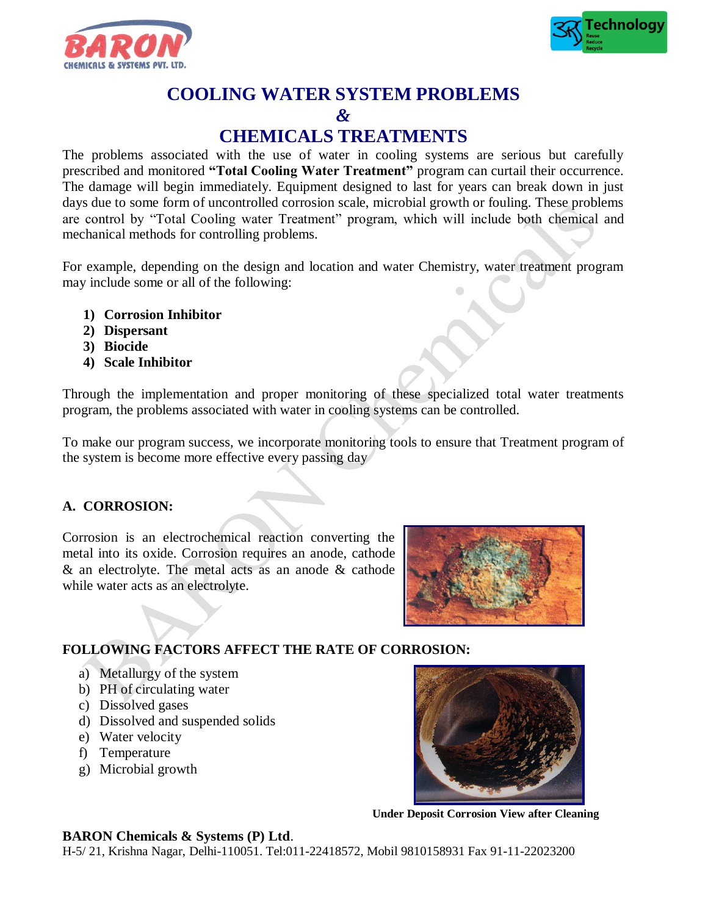



# **COOLING WATER SYSTEM PROBLEMS**

# *&*

# **CHEMICALS TREATMENTS**

The problems associated with the use of water in cooling systems are serious but carefully prescribed and monitored **"Total Cooling Water Treatment"** program can curtail their occurrence. The damage will begin immediately. Equipment designed to last for years can break down in just days due to some form of uncontrolled corrosion scale, microbial growth or fouling. These problems are control by "Total Cooling water Treatment" program, which will include both chemical and mechanical methods for controlling problems.

For example, depending on the design and location and water Chemistry, water treatment program may include some or all of the following:

- **1) Corrosion Inhibitor**
- **2) Dispersant**
- **3) Biocide**
- **4) Scale Inhibitor**

Through the implementation and proper monitoring of these specialized total water treatments program, the problems associated with water in cooling systems can be controlled.

To make our program success, we incorporate monitoring tools to ensure that Treatment program of the system is become more effective every passing day

### **A. CORROSION:**

Corrosion is an electrochemical reaction converting the metal into its oxide. Corrosion requires an anode, cathode & an electrolyte. The metal acts as an anode & cathode while water acts as an electrolyte.



# **FOLLOWING FACTORS AFFECT THE RATE OF CORROSION:**

- a) Metallurgy of the system
- b) PH of circulating water
- c) Dissolved gases
- d) Dissolved and suspended solids
- e) Water velocity
- f) Temperature
- g) Microbial growth



**Under Deposit Corrosion View after Cleaning**

### **BARON Chemicals & Systems (P) Ltd**.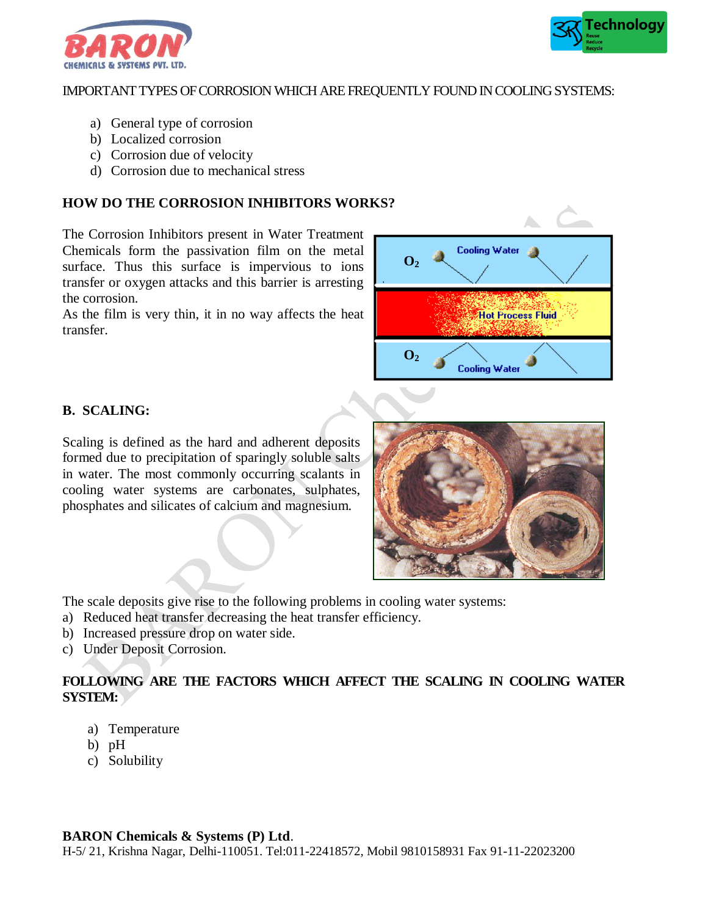



#### IMPORTANT TYPES OF CORROSION WHICH ARE FREQUENTLY FOUND IN COOLING SYSTEMS:

- a) General type of corrosion
- b) Localized corrosion
- c) Corrosion due of velocity
- d) Corrosion due to mechanical stress

#### **HOW DO THE CORROSION INHIBITORS WORKS?**

The Corrosion Inhibitors present in Water Treatment Chemicals form the passivation film on the metal surface. Thus this surface is impervious to ions transfer or oxygen attacks and this barrier is arresting the corrosion.

As the film is very thin, it in no way affects the heat transfer.



#### **B. SCALING:**

Scaling is defined as the hard and adherent deposits formed due to precipitation of sparingly soluble salts in water. The most commonly occurring scalants in cooling water systems are carbonates, sulphates, phosphates and silicates of calcium and magnesium.



The scale deposits give rise to the following problems in cooling water systems:

- a) Reduced heat transfer decreasing the heat transfer efficiency.
- b) Increased pressure drop on water side.
- c) Under Deposit Corrosion.

#### **FOLLOWING ARE THE FACTORS WHICH AFFECT THE SCALING IN COOLING WATER SYSTEM:**

- a) Temperature
- b) pH
- c) Solubility

#### **BARON Chemicals & Systems (P) Ltd**.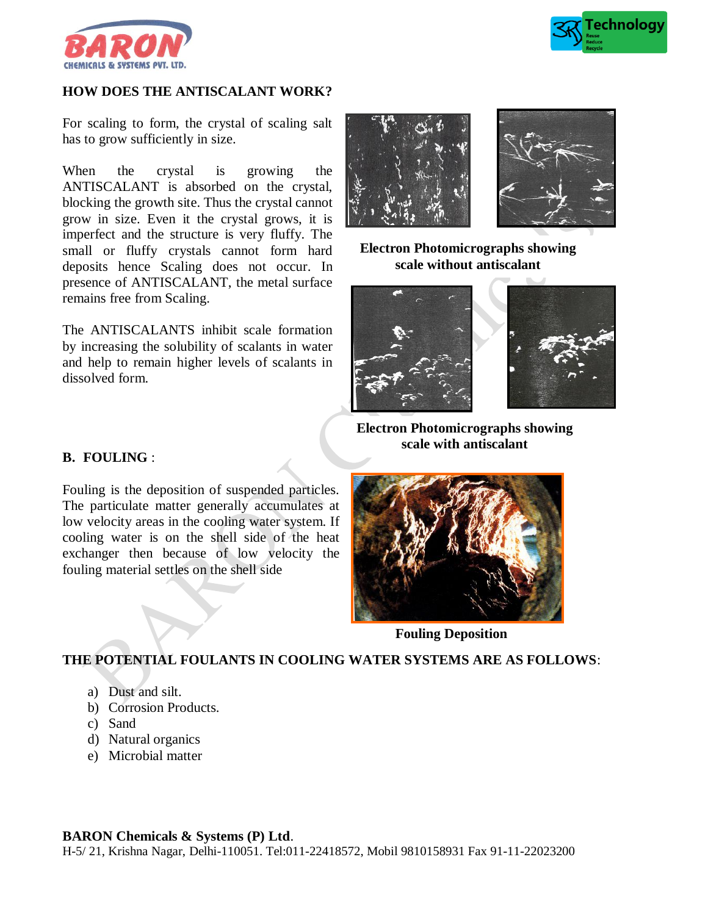



#### **HOW DOES THE ANTISCALANT WORK?**

For scaling to form, the crystal of scaling salt has to grow sufficiently in size.

When the crystal is growing the ANTISCALANT is absorbed on the crystal, blocking the growth site. Thus the crystal cannot grow in size. Even it the crystal grows, it is imperfect and the structure is very fluffy. The small or fluffy crystals cannot form hard deposits hence Scaling does not occur. In presence of ANTISCALANT, the metal surface remains free from Scaling.

The ANTISCALANTS inhibit scale formation by increasing the solubility of scalants in water and help to remain higher levels of scalants in dissolved form.



**Electron Photomicrographs showing scale without antiscalant**





**Electron Photomicrographs showing scale with antiscalant**

#### **B. FOULING** :

Fouling is the deposition of suspended particles. The particulate matter generally accumulates at low velocity areas in the cooling water system. If cooling water is on the shell side of the heat exchanger then because of low velocity the fouling material settles on the shell side



**Fouling Deposition**

#### **THE POTENTIAL FOULANTS IN COOLING WATER SYSTEMS ARE AS FOLLOWS**:

- b) Corrosion Products.
- c) Sand
- d) Natural organics
- e) Microbial matter

### **BARON Chemicals & Systems (P) Ltd**.

a) Dust and silt.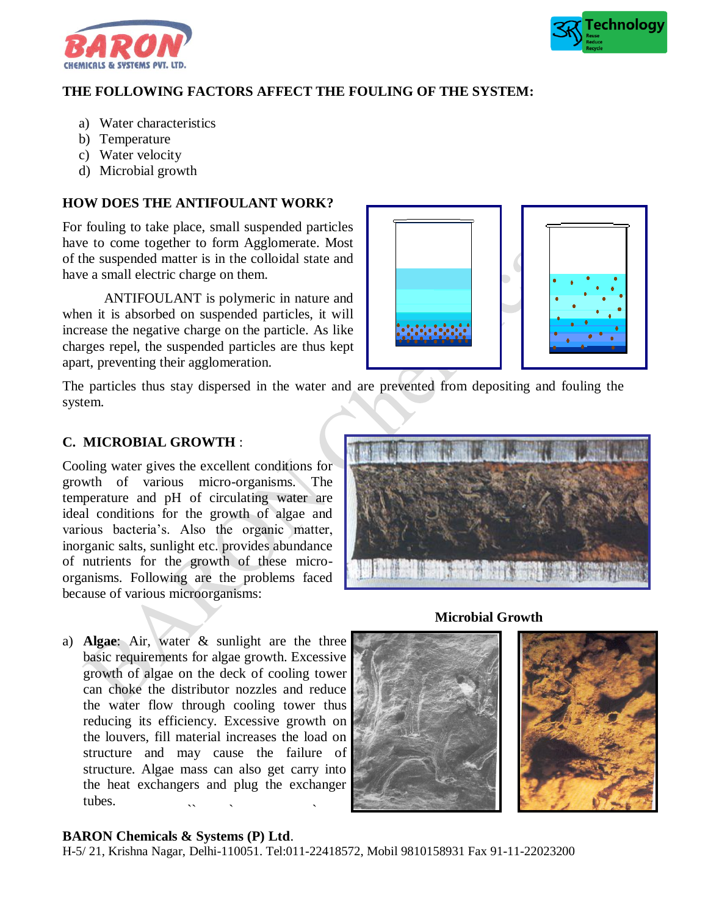



## **THE FOLLOWING FACTORS AFFECT THE FOULING OF THE SYSTEM:**

- a) Water characteristics
- b) Temperature
- c) Water velocity
- d) Microbial growth

#### **HOW DOES THE ANTIFOULANT WORK?**

For fouling to take place, small suspended particles have to come together to form Agglomerate. Most of the suspended matter is in the colloidal state and have a small electric charge on them.

ANTIFOULANT is polymeric in nature and when it is absorbed on suspended particles, it will increase the negative charge on the particle. As like charges repel, the suspended particles are thus kept apart, preventing their agglomeration.



The particles thus stay dispersed in the water and are prevented from depositing and fouling the system.

#### **C. MICROBIAL GROWTH** :

Cooling water gives the excellent conditions for growth of various micro-organisms. The temperature and pH of circulating water are ideal conditions for the growth of algae and various bacteria's. Also the organic matter, inorganic salts, sunlight etc. provides abundance of nutrients for the growth of these microorganisms. Following are the problems faced because of various microorganisms:

a) **Algae**: Air, water & sunlight are the three basic requirements for algae growth. Excessive growth of algae on the deck of cooling tower can choke the distributor nozzles and reduce the water flow through cooling tower thus reducing its efficiency. Excessive growth on the louvers, fill material increases the load on structure and may cause the failure of structure. Algae mass can also get carry into the heat exchangers and plug the exchanger tubes.  $\ddot{\phantom{a}}$  , we have the contract of  $\ddot{\phantom{a}}$ 

**Microbial Growth**





#### **BARON Chemicals & Systems (P) Ltd**.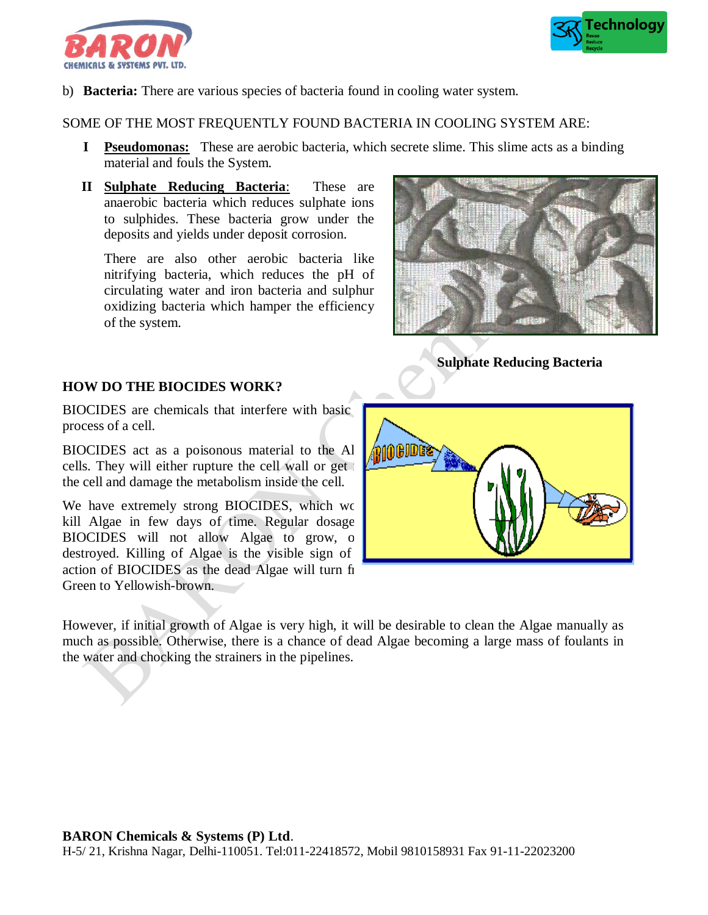



b) **Bacteria:** There are various species of bacteria found in cooling water system.

#### SOME OF THE MOST FREQUENTLY FOUND BACTERIA IN COOLING SYSTEM ARE:

- **I Pseudomonas:** These are aerobic bacteria, which secrete slime. This slime acts as a binding material and fouls the System.
- **II Sulphate Reducing Bacteria**: These are anaerobic bacteria which reduces sulphate ions to sulphides. These bacteria grow under the deposits and yields under deposit corrosion.

There are also other aerobic bacteria like nitrifying bacteria, which reduces the pH of circulating water and iron bacteria and sulphur oxidizing bacteria which hamper the efficiency of the system.



**Sulphate Reducing Bacteria**

#### **HOW DO THE BIOCIDES WORK?**

BIOCIDES are chemicals that interfere with basic process of a cell.

BIOCIDES act as a poisonous material to the Al cells. They will either rupture the cell wall or get the cell and damage the metabolism inside the cell.

We have extremely strong BIOCIDES, which wo kill Algae in few days of time. Regular dosage BIOCIDES will not allow Algae to grow, once destroyed. Killing of Algae is the visible sign of action of BIOCIDES as the dead Algae will turn fi Green to Yellowish-brown.

10GJDG

However, if initial growth of Algae is very high, it will be desirable to clean the Algae manually as much as possible. Otherwise, there is a chance of dead Algae becoming a large mass of foulants in the water and chocking the strainers in the pipelines.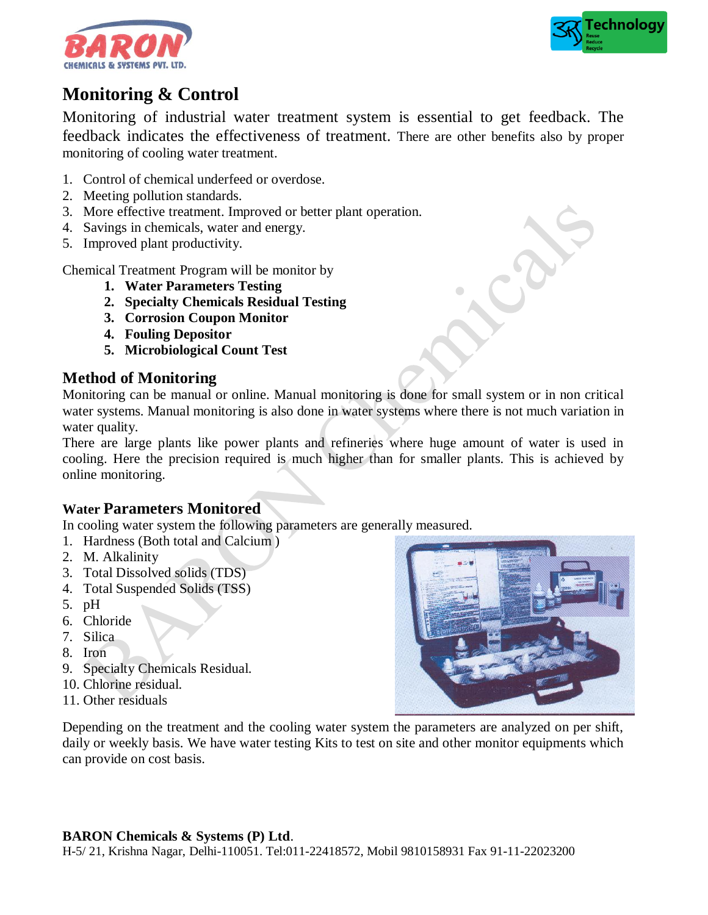



# **Monitoring & Control**

Monitoring of industrial water treatment system is essential to get feedback. The feedback indicates the effectiveness of treatment. There are other benefits also by proper monitoring of cooling water treatment.

- 1. Control of chemical underfeed or overdose.
- 2. Meeting pollution standards.
- 3. More effective treatment. Improved or better plant operation.
- 4. Savings in chemicals, water and energy.
- 5. Improved plant productivity.

Chemical Treatment Program will be monitor by

- **1. Water Parameters Testing**
- **2. Specialty Chemicals Residual Testing**
- **3. Corrosion Coupon Monitor**
- **4. Fouling Depositor**
- **5. Microbiological Count Test**

# **Method of Monitoring**

Monitoring can be manual or online. Manual monitoring is done for small system or in non critical water systems. Manual monitoring is also done in water systems where there is not much variation in water quality.

There are large plants like power plants and refineries where huge amount of water is used in cooling. Here the precision required is much higher than for smaller plants. This is achieved by online monitoring.

# **Water Parameters Monitored**

In cooling water system the following parameters are generally measured.

- 1. Hardness (Both total and Calcium )
- 2. M. Alkalinity
- 3. Total Dissolved solids (TDS)
- 4. Total Suspended Solids (TSS)
- 5. pH
- 6. Chloride
- 7. Silica
- 8. Iron
- 9. Specialty Chemicals Residual.
- 10. Chlorine residual.
- 11. Other residuals

Depending on the treatment and the cooling water system the parameters are analyzed on per shift, daily or weekly basis. We have water testing Kits to test on site and other monitor equipments which can provide on cost basis.

### **BARON Chemicals & Systems (P) Ltd**.

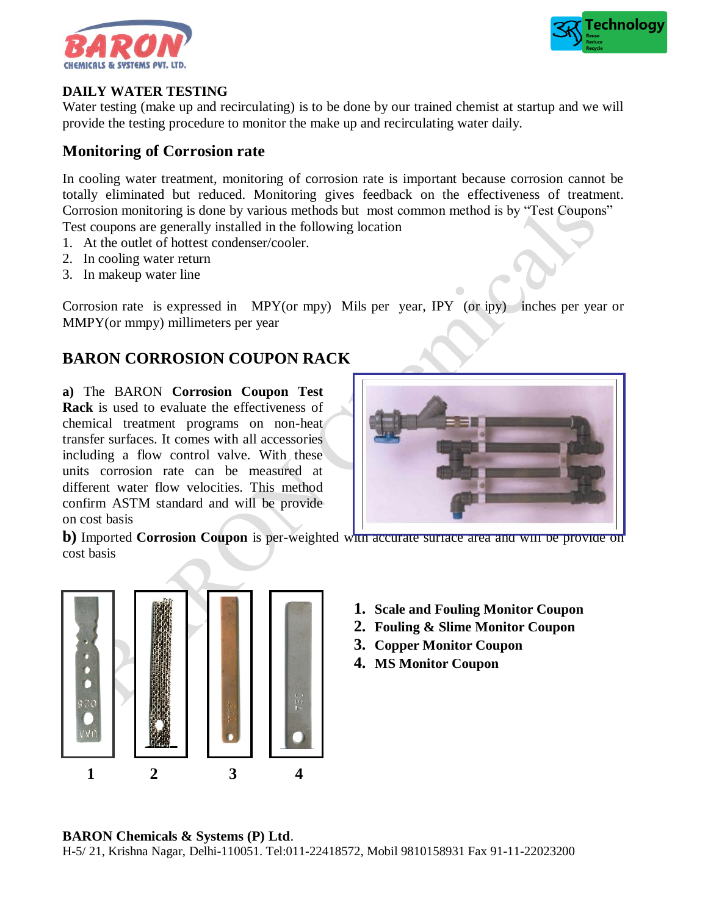



#### **DAILY WATER TESTING**

Water testing (make up and recirculating) is to be done by our trained chemist at startup and we will provide the testing procedure to monitor the make up and recirculating water daily.

# **Monitoring of Corrosion rate**

In cooling water treatment, monitoring of corrosion rate is important because corrosion cannot be totally eliminated but reduced. Monitoring gives feedback on the effectiveness of treatment. Corrosion monitoring is done by various methods but most common method is by "Test Coupons" Test coupons are generally installed in the following location

- 1. At the outlet of hottest condenser/cooler.
- 2. In cooling water return
- 3. In makeup water line

Corrosion rate is expressed in MPY(or mpy) Mils per year, IPY (or ipy) inches per year or MMPY(or mmpy) millimeters per year

# **BARON CORROSION COUPON RACK**

**a)** The BARON **Corrosion Coupon Test Rack** is used to evaluate the effectiveness of chemical treatment programs on non-heat transfer surfaces. It comes with all accessories including a flow control valve. With these units corrosion rate can be measured at different water flow velocities. This method confirm ASTM standard and will be provide on cost basis



**b**) Imported **Corrosion Coupon** is per-weighted with accurate surface area and will be provide on cost basis



- **1. Scale and Fouling Monitor Coupon**
- **2. Fouling & Slime Monitor Coupon**
- **3. Copper Monitor Coupon**
- **4. MS Monitor Coupon**